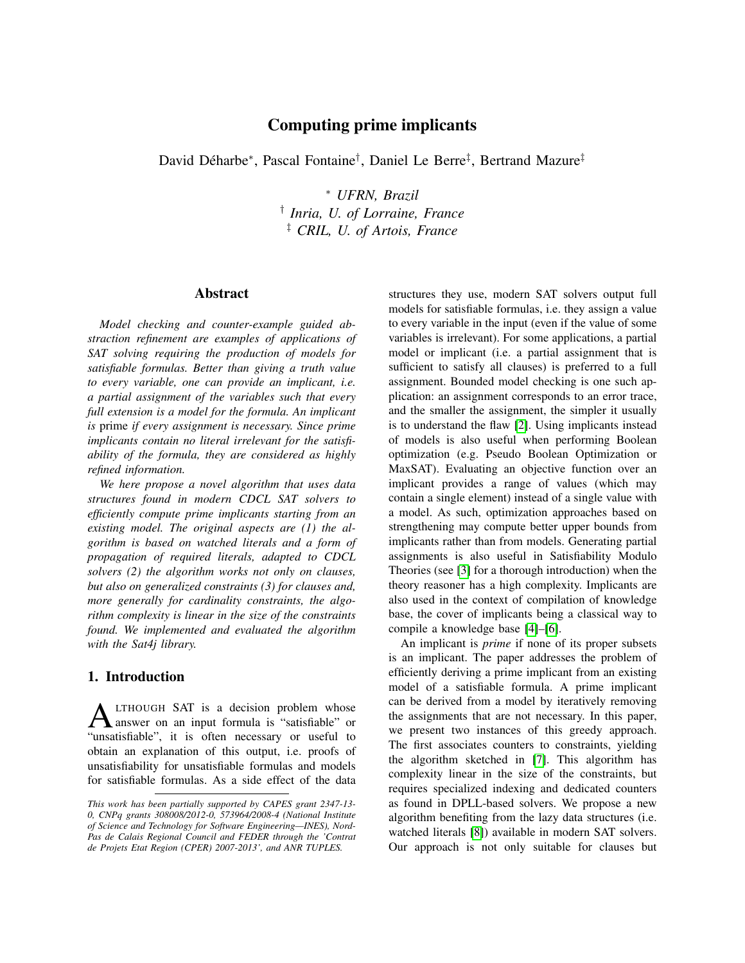# Computing prime implicants

David Déharbe\*, Pascal Fontaine<sup>†</sup>, Daniel Le Berre<sup>‡</sup>, Bertrand Mazure<sup>‡</sup>

<sup>∗</sup> *UFRN, Brazil* † *Inria, U. of Lorraine, France* ‡ *CRIL, U. of Artois, France*

## Abstract

*Model checking and counter-example guided abstraction refinement are examples of applications of SAT solving requiring the production of models for satisfiable formulas. Better than giving a truth value to every variable, one can provide an implicant, i.e. a partial assignment of the variables such that every full extension is a model for the formula. An implicant is* prime *if every assignment is necessary. Since prime implicants contain no literal irrelevant for the satisfiability of the formula, they are considered as highly refined information.*

*We here propose a novel algorithm that uses data structures found in modern CDCL SAT solvers to efficiently compute prime implicants starting from an existing model. The original aspects are (1) the algorithm is based on watched literals and a form of propagation of required literals, adapted to CDCL solvers (2) the algorithm works not only on clauses, but also on generalized constraints (3) for clauses and, more generally for cardinality constraints, the algorithm complexity is linear in the size of the constraints found. We implemented and evaluated the algorithm with the Sat4j library.*

## 1. Introduction

A LTHOUGH SAT is a decision problem whose<br>
"unsatisfiable" or<br>
"unsatisfiable" it is often possessme or useful to LTHOUGH SAT is a decision problem whose "unsatisfiable", it is often necessary or useful to obtain an explanation of this output, i.e. proofs of unsatisfiability for unsatisfiable formulas and models for satisfiable formulas. As a side effect of the data

structures they use, modern SAT solvers output full models for satisfiable formulas, i.e. they assign a value to every variable in the input (even if the value of some variables is irrelevant). For some applications, a partial model or implicant (i.e. a partial assignment that is sufficient to satisfy all clauses) is preferred to a full assignment. Bounded model checking is one such application: an assignment corresponds to an error trace, and the smaller the assignment, the simpler it usually is to understand the flaw [\[2\]](#page-7-0). Using implicants instead of models is also useful when performing Boolean optimization (e.g. Pseudo Boolean Optimization or MaxSAT). Evaluating an objective function over an implicant provides a range of values (which may contain a single element) instead of a single value with a model. As such, optimization approaches based on strengthening may compute better upper bounds from implicants rather than from models. Generating partial assignments is also useful in Satisfiability Modulo Theories (see [\[3\]](#page-7-1) for a thorough introduction) when the theory reasoner has a high complexity. Implicants are also used in the context of compilation of knowledge base, the cover of implicants being a classical way to compile a knowledge base [\[4\]](#page-7-2)–[\[6\]](#page-7-3).

An implicant is *prime* if none of its proper subsets is an implicant. The paper addresses the problem of efficiently deriving a prime implicant from an existing model of a satisfiable formula. A prime implicant can be derived from a model by iteratively removing the assignments that are not necessary. In this paper, we present two instances of this greedy approach. The first associates counters to constraints, yielding the algorithm sketched in [\[7\]](#page-7-4). This algorithm has complexity linear in the size of the constraints, but requires specialized indexing and dedicated counters as found in DPLL-based solvers. We propose a new algorithm benefiting from the lazy data structures (i.e. watched literals [\[8\]](#page-7-5)) available in modern SAT solvers. Our approach is not only suitable for clauses but

*This work has been partially supported by CAPES grant 2347-13- 0, CNPq grants 308008/2012-0, 573964/2008-4 (National Institute of Science and Technology for Software Engineering—INES), Nord-Pas de Calais Regional Council and FEDER through the 'Contrat de Projets Etat Region (CPER) 2007-2013', and ANR TUPLES.*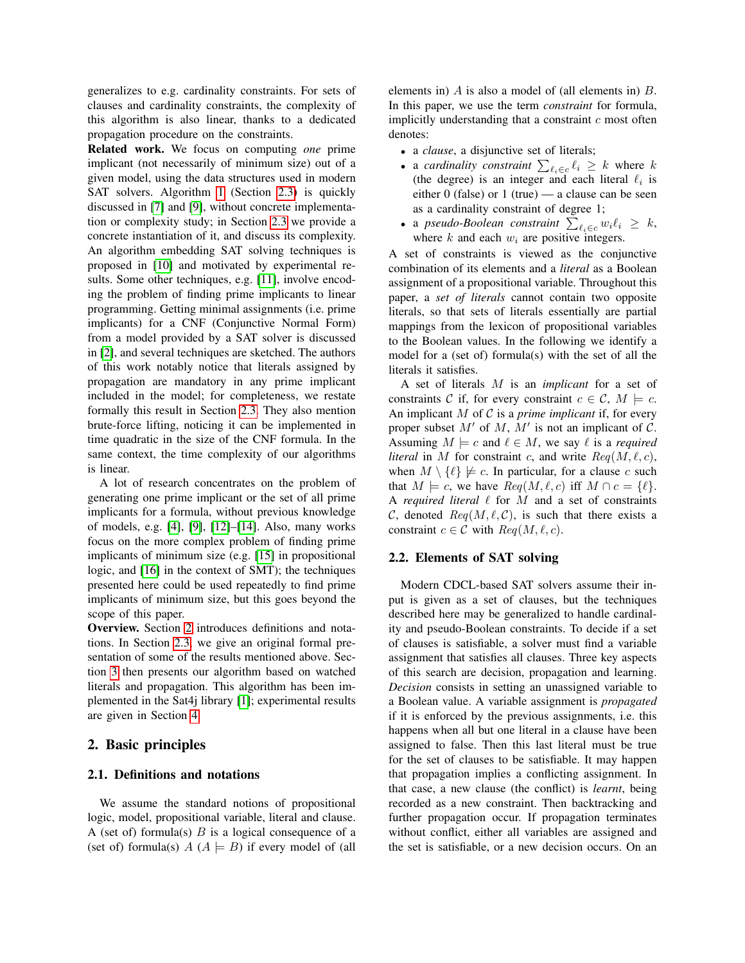generalizes to e.g. cardinality constraints. For sets of clauses and cardinality constraints, the complexity of this algorithm is also linear, thanks to a dedicated propagation procedure on the constraints.

Related work. We focus on computing *one* prime implicant (not necessarily of minimum size) out of a given model, using the data structures used in modern SAT solvers. Algorithm [1](#page-2-0) (Section [2.3\)](#page-2-1) is quickly discussed in [\[7\]](#page-7-4) and [\[9\]](#page-7-6), without concrete implementation or complexity study; in Section [2.3](#page-2-1) we provide a concrete instantiation of it, and discuss its complexity. An algorithm embedding SAT solving techniques is proposed in [\[10\]](#page-7-7) and motivated by experimental re-sults. Some other techniques, e.g. [\[11\]](#page-7-8), involve encoding the problem of finding prime implicants to linear programming. Getting minimal assignments (i.e. prime implicants) for a CNF (Conjunctive Normal Form) from a model provided by a SAT solver is discussed in [\[2\]](#page-7-0), and several techniques are sketched. The authors of this work notably notice that literals assigned by propagation are mandatory in any prime implicant included in the model; for completeness, we restate formally this result in Section [2.3.](#page-2-1) They also mention brute-force lifting, noticing it can be implemented in time quadratic in the size of the CNF formula. In the same context, the time complexity of our algorithms is linear.

A lot of research concentrates on the problem of generating one prime implicant or the set of all prime implicants for a formula, without previous knowledge of models, e.g. [\[4\]](#page-7-2), [\[9\]](#page-7-6), [\[12\]](#page-7-9)–[\[14\]](#page-7-10). Also, many works focus on the more complex problem of finding prime implicants of minimum size (e.g. [\[15\]](#page-7-11) in propositional logic, and [\[16\]](#page-7-12) in the context of SMT); the techniques presented here could be used repeatedly to find prime implicants of minimum size, but this goes beyond the scope of this paper.

Overview. Section [2](#page-1-0) introduces definitions and notations. In Section [2.3,](#page-2-1) we give an original formal presentation of some of the results mentioned above. Section [3](#page-3-0) then presents our algorithm based on watched literals and propagation. This algorithm has been implemented in the Sat4j library [\[1\]](#page-7-13); experimental results are given in Section [4.](#page-6-0)

# <span id="page-1-0"></span>2. Basic principles

### 2.1. Definitions and notations

We assume the standard notions of propositional logic, model, propositional variable, literal and clause. A (set of) formula(s)  $B$  is a logical consequence of a (set of) formula(s)  $A(A \models B)$  if every model of (all elements in) A is also a model of (all elements in) B. In this paper, we use the term *constraint* for formula, implicitly understanding that a constraint  $c$  most often denotes:

- a *clause*, a disjunctive set of literals;
- a *cardinality constraint*  $\sum_{\ell_i \in c} \ell_i \geq k$  where k (the degree) is an integer and each literal  $\ell_i$  is either 0 (false) or 1 (true) — a clause can be seen as a cardinality constraint of degree 1;
- a *pseudo-Boolean constraint*  $\sum_{\ell_i \in c} w_i \ell_i \geq k$ , where  $k$  and each  $w_i$  are positive integers.

A set of constraints is viewed as the conjunctive combination of its elements and a *literal* as a Boolean assignment of a propositional variable. Throughout this paper, a *set of literals* cannot contain two opposite literals, so that sets of literals essentially are partial mappings from the lexicon of propositional variables to the Boolean values. In the following we identify a model for a (set of) formula(s) with the set of all the literals it satisfies.

A set of literals M is an *implicant* for a set of constraints C if, for every constraint  $c \in \mathcal{C}$ ,  $M \models c$ . An implicant M of C is a *prime implicant* if, for every proper subset  $M'$  of  $M$ ,  $M'$  is not an implicant of  $\mathcal{C}$ . Assuming  $M \models c$  and  $\ell \in M$ , we say  $\ell$  is a *required literal* in M for constraint c, and write  $Req(M, \ell, c)$ , when  $M \setminus \{ \ell \} \not\models c$ . In particular, for a clause c such that  $M \models c$ , we have  $Req(M, \ell, c)$  iff  $M \cap c = {\ell}.$ A *required literal*  $\ell$  for  $M$  and a set of constraints C, denoted  $Req(M, \ell, C)$ , is such that there exists a constraint  $c \in \mathcal{C}$  with  $Req(M, \ell, c)$ .

### 2.2. Elements of SAT solving

Modern CDCL-based SAT solvers assume their input is given as a set of clauses, but the techniques described here may be generalized to handle cardinality and pseudo-Boolean constraints. To decide if a set of clauses is satisfiable, a solver must find a variable assignment that satisfies all clauses. Three key aspects of this search are decision, propagation and learning. *Decision* consists in setting an unassigned variable to a Boolean value. A variable assignment is *propagated* if it is enforced by the previous assignments, i.e. this happens when all but one literal in a clause have been assigned to false. Then this last literal must be true for the set of clauses to be satisfiable. It may happen that propagation implies a conflicting assignment. In that case, a new clause (the conflict) is *learnt*, being recorded as a new constraint. Then backtracking and further propagation occur. If propagation terminates without conflict, either all variables are assigned and the set is satisfiable, or a new decision occurs. On an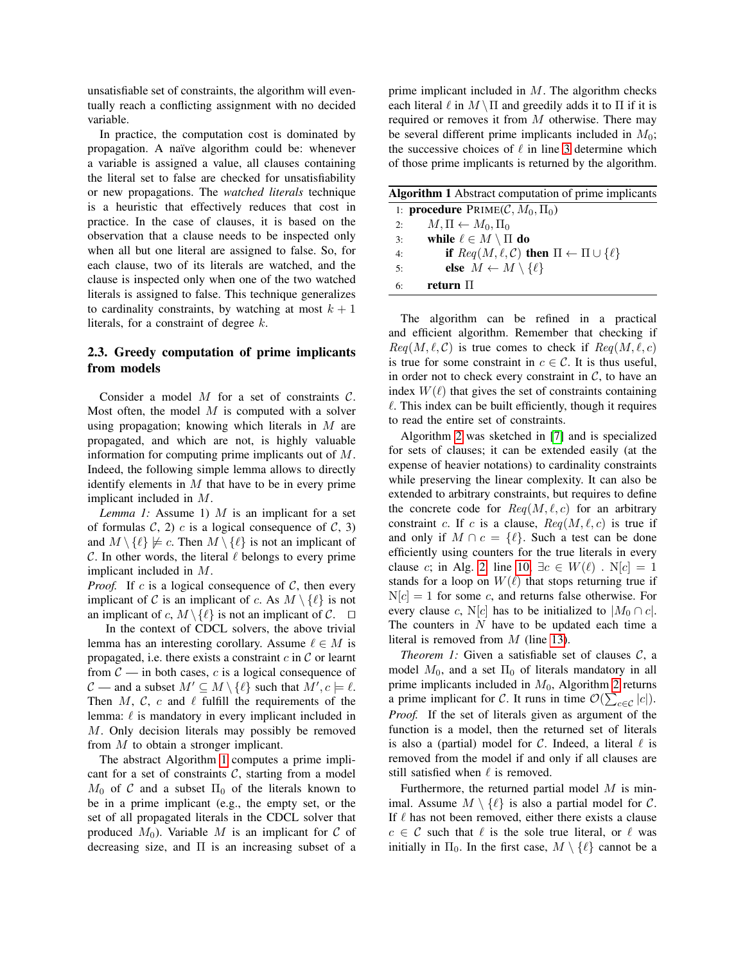unsatisfiable set of constraints, the algorithm will eventually reach a conflicting assignment with no decided variable.

In practice, the computation cost is dominated by propagation. A naïve algorithm could be: whenever a variable is assigned a value, all clauses containing the literal set to false are checked for unsatisfiability or new propagations. The *watched literals* technique is a heuristic that effectively reduces that cost in practice. In the case of clauses, it is based on the observation that a clause needs to be inspected only when all but one literal are assigned to false. So, for each clause, two of its literals are watched, and the clause is inspected only when one of the two watched literals is assigned to false. This technique generalizes to cardinality constraints, by watching at most  $k + 1$ literals, for a constraint of degree k.

# <span id="page-2-1"></span>2.3. Greedy computation of prime implicants from models

Consider a model  $M$  for a set of constraints  $C$ . Most often, the model  $M$  is computed with a solver using propagation; knowing which literals in  $M$  are propagated, and which are not, is highly valuable information for computing prime implicants out of M. Indeed, the following simple lemma allows to directly identify elements in  $M$  that have to be in every prime implicant included in M.

*Lemma 1:* Assume 1) M is an implicant for a set of formulas  $C$ , 2) c is a logical consequence of  $C$ , 3) and  $M \setminus \{ \ell \} \not\models c$ . Then  $M \setminus \{ \ell \}$  is not an implicant of C. In other words, the literal  $\ell$  belongs to every prime implicant included in M.

*Proof.* If c is a logical consequence of  $C$ , then every implicant of C is an implicant of c. As  $M \setminus \{ \ell \}$  is not an implicant of c,  $M \setminus \{ \ell \}$  is not an implicant of C.  $\Box$ 

In the context of CDCL solvers, the above trivial lemma has an interesting corollary. Assume  $\ell \in M$  is propagated, i.e. there exists a constraint  $c$  in  $\mathcal C$  or learnt from  $C$  — in both cases, c is a logical consequence of  $\mathcal{C}$  — and a subset  $M' \subseteq M \setminus \{\ell\}$  such that  $M', c \models \ell$ . Then  $M$ ,  $C$ ,  $c$  and  $\ell$  fulfill the requirements of the lemma:  $\ell$  is mandatory in every implicant included in M. Only decision literals may possibly be removed from M to obtain a stronger implicant.

The abstract Algorithm [1](#page-2-0) computes a prime implicant for a set of constraints  $C$ , starting from a model  $M_0$  of C and a subset  $\Pi_0$  of the literals known to be in a prime implicant (e.g., the empty set, or the set of all propagated literals in the CDCL solver that produced  $M_0$ ). Variable M is an implicant for C of decreasing size, and  $\Pi$  is an increasing subset of a

prime implicant included in  $M$ . The algorithm checks each literal  $\ell$  in  $M \setminus \Pi$  and greedily adds it to  $\Pi$  if it is required or removes it from  $M$  otherwise. There may be several different prime implicants included in  $M_0$ ; the successive choices of  $\ell$  in line [3](#page-2-0) determine which of those prime implicants is returned by the algorithm.

<span id="page-2-0"></span>

| <b>Algorithm 1</b> Abstract computation of prime implicants<br>1: <b>procedure</b> $PRIME(C, M_0, \Pi_0)$<br>$M,\Pi \leftarrow M_0,\Pi_0$<br>2:<br>while $\ell \in M \setminus \Pi$ do<br>3:<br>if $\text{Re}q(M,\ell,\mathcal{C})$ then $\Pi \leftarrow \Pi \cup \{\ell\}$<br>4:<br>else $M \leftarrow M \setminus \{\ell\}$<br>5: |  |  |  |  |  |  |
|-------------------------------------------------------------------------------------------------------------------------------------------------------------------------------------------------------------------------------------------------------------------------------------------------------------------------------------|--|--|--|--|--|--|
|                                                                                                                                                                                                                                                                                                                                     |  |  |  |  |  |  |
|                                                                                                                                                                                                                                                                                                                                     |  |  |  |  |  |  |
|                                                                                                                                                                                                                                                                                                                                     |  |  |  |  |  |  |
|                                                                                                                                                                                                                                                                                                                                     |  |  |  |  |  |  |
|                                                                                                                                                                                                                                                                                                                                     |  |  |  |  |  |  |
|                                                                                                                                                                                                                                                                                                                                     |  |  |  |  |  |  |
| return $\Pi$<br>6:                                                                                                                                                                                                                                                                                                                  |  |  |  |  |  |  |

The algorithm can be refined in a practical and efficient algorithm. Remember that checking if  $Req(M, \ell, C)$  is true comes to check if  $Req(M, \ell, c)$ is true for some constraint in  $c \in \mathcal{C}$ . It is thus useful, in order not to check every constraint in  $C$ , to have an index  $W(\ell)$  that gives the set of constraints containing  $\ell$ . This index can be built efficiently, though it requires to read the entire set of constraints.

Algorithm [2](#page-3-1) was sketched in [\[7\]](#page-7-4) and is specialized for sets of clauses; it can be extended easily (at the expense of heavier notations) to cardinality constraints while preserving the linear complexity. It can also be extended to arbitrary constraints, but requires to define the concrete code for  $Req(M, \ell, c)$  for an arbitrary constraint c. If c is a clause,  $Req(M, \ell, c)$  is true if and only if  $M \cap c = \{ \ell \}.$  Such a test can be done efficiently using counters for the true literals in every clause c; in Alg. [2,](#page-3-1) line [10,](#page-3-1)  $\exists c \in W(\ell)$ . N[c] = 1 stands for a loop on  $W(\ell)$  that stops returning true if  $N[c] = 1$  for some c, and returns false otherwise. For every clause c, N[c] has to be initialized to  $|M_0 \cap c|$ . The counters in  $N$  have to be updated each time a literal is removed from M (line [13\)](#page-3-1).

*Theorem 1:* Given a satisfiable set of clauses  $C$ , a model  $M_0$ , and a set  $\Pi_0$  of literals mandatory in all prime implicants included in  $M_0$ , Algorithm [2](#page-3-1) returns a prime implicant for C. It runs in time  $\mathcal{O}(\sum_{c \in \mathcal{C}} |c|)$ . *Proof.* If the set of literals given as argument of the function is a model, then the returned set of literals is also a (partial) model for C. Indeed, a literal  $\ell$  is removed from the model if and only if all clauses are still satisfied when  $\ell$  is removed.

Furthermore, the returned partial model  $M$  is minimal. Assume  $M \setminus \{ \ell \}$  is also a partial model for C. If  $\ell$  has not been removed, either there exists a clause  $c \in \mathcal{C}$  such that  $\ell$  is the sole true literal, or  $\ell$  was initially in  $\Pi_0$ . In the first case,  $M \setminus \{ \ell \}$  cannot be a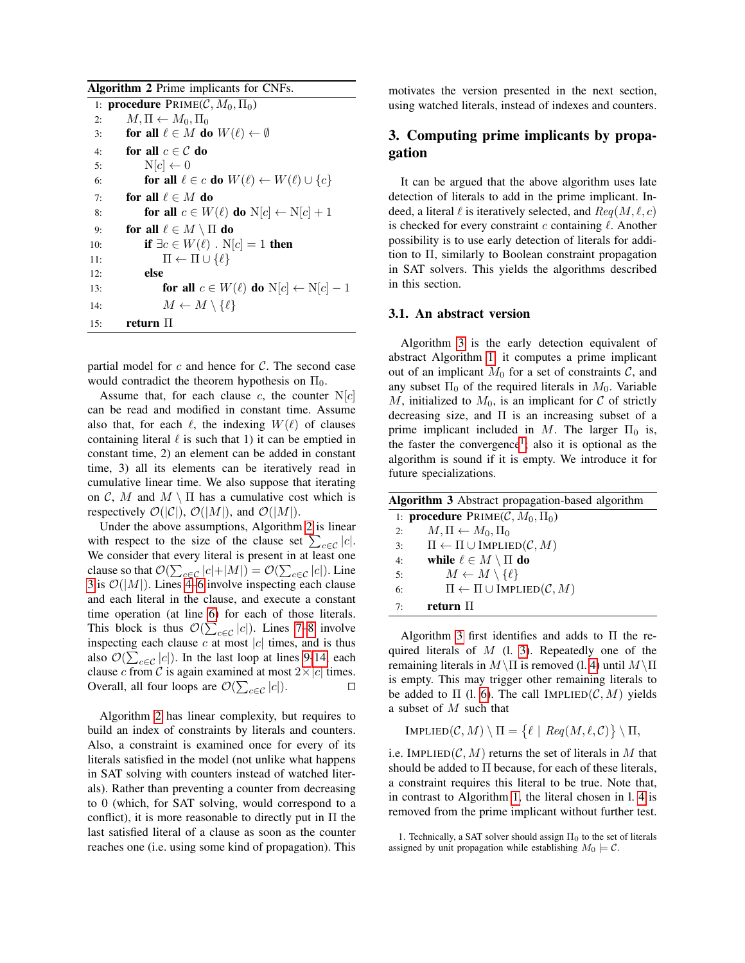| Algorithm 2 Prime implicants for CNFs. |  |  |  |
|----------------------------------------|--|--|--|
|----------------------------------------|--|--|--|

<span id="page-3-1"></span>

| 1: <b>procedure</b> $PRIME(C, M_0, \Pi_0)$                      |
|-----------------------------------------------------------------|
| $M,\Pi \leftarrow M_0,\Pi_0$                                    |
| for all $\ell \in M$ do $W(\ell) \leftarrow \emptyset$<br>3:    |
| for all $c \in \mathcal{C}$ do                                  |
| $N[c] \leftarrow 0$<br>5:                                       |
| for all $\ell \in c$ do $W(\ell) \leftarrow W(\ell) \cup \{c\}$ |
| for all $\ell \in M$ do                                         |
| for all $c \in W(\ell)$ do $N[c] \leftarrow N[c] + 1$           |
| for all $\ell \in M \setminus \Pi$ do                           |
| if $\exists c \in W(\ell)$ . $N[c] = 1$ then                    |
| $\Pi \leftarrow \Pi \cup \{\ell\}$                              |
| else                                                            |
| for all $c \in W(\ell)$ do $N[c] \leftarrow N[c] - 1$           |
| $M \leftarrow M \setminus \{\ell\}$                             |
| return 11                                                       |
|                                                                 |

partial model for  $c$  and hence for  $\mathcal{C}$ . The second case would contradict the theorem hypothesis on  $\Pi_0$ .

Assume that, for each clause c, the counter  $N[c]$ can be read and modified in constant time. Assume also that, for each  $\ell$ , the indexing  $W(\ell)$  of clauses containing literal  $\ell$  is such that 1) it can be emptied in constant time, 2) an element can be added in constant time, 3) all its elements can be iteratively read in cumulative linear time. We also suppose that iterating on C, M and  $M \setminus \Pi$  has a cumulative cost which is respectively  $\mathcal{O}(|\mathcal{C}|)$ ,  $\mathcal{O}(|M|)$ , and  $\mathcal{O}(|M|)$ .

Under the above assumptions, Algorithm [2](#page-3-1) is linear with respect to the size of the clause set  $\sum_{c \in \mathcal{C}} |c|$ . We consider that every literal is present in at least one clause so that  $\mathcal{O}(\sum_{c \in \mathcal{C}} |c| + |M|) = \mathcal{O}(\sum_{c \in \mathcal{C}} |c|)$ . Line [3](#page-3-1) is  $\mathcal{O}(|M|)$ . Lines [4–6](#page-3-1) involve inspecting each clause and each literal in the clause, and execute a constant time operation (at line [6\)](#page-3-1) for each of those literals. This block is thus  $\mathcal{O}(\sum_{c \in \mathcal{C}} |c|)$ . Lines [7–8](#page-3-1) involve inspecting each clause  $c$  at most  $|c|$  times, and is thus also  $\mathcal{O}(\sum_{c \in \mathcal{C}} |c|)$ . In the last loop at lines [9-14,](#page-3-1) each clause c from C is again examined at most  $2 \times |c|$  times. Overall, all four loops are  $\mathcal{O}(\sum_{c \in \mathcal{C}} |c|)$ .

Algorithm [2](#page-3-1) has linear complexity, but requires to build an index of constraints by literals and counters. Also, a constraint is examined once for every of its literals satisfied in the model (not unlike what happens in SAT solving with counters instead of watched literals). Rather than preventing a counter from decreasing to 0 (which, for SAT solving, would correspond to a conflict), it is more reasonable to directly put in  $\Pi$  the last satisfied literal of a clause as soon as the counter reaches one (i.e. using some kind of propagation). This motivates the version presented in the next section, using watched literals, instead of indexes and counters.

# <span id="page-3-0"></span>3. Computing prime implicants by propagation

It can be argued that the above algorithm uses late detection of literals to add in the prime implicant. Indeed, a literal  $\ell$  is iteratively selected, and  $Req(M, \ell, c)$ is checked for every constraint  $c$  containing  $\ell$ . Another possibility is to use early detection of literals for addition to Π, similarly to Boolean constraint propagation in SAT solvers. This yields the algorithms described in this section.

#### 3.1. An abstract version

Algorithm [3](#page-3-2) is the early detection equivalent of abstract Algorithm [1:](#page-2-0) it computes a prime implicant out of an implicant  $M_0$  for a set of constraints  $\mathcal{C}$ , and any subset  $\Pi_0$  of the required literals in  $M_0$ . Variable M, initialized to  $M_0$ , is an implicant for C of strictly decreasing size, and Π is an increasing subset of a prime implicant included in M. The larger  $\Pi_0$  is, the faster the convergence<sup>[1](#page-3-3)</sup>; also it is optional as the algorithm is sound if it is empty. We introduce it for future specializations.

<span id="page-3-2"></span>

|    | Algorithm 3 Abstract propagation-based algorithm         |
|----|----------------------------------------------------------|
|    | 1: <b>procedure</b> $PRIME(C, M_0, \Pi_0)$               |
| 2: | $M, \Pi \leftarrow M_0, \Pi_0$                           |
| 3: | $\Pi \leftarrow \Pi \cup \text{IMPLIED}(\mathcal{C}, M)$ |
| 4: | while $\ell \in M \setminus \Pi$ do                      |
| 5: | $M \leftarrow M \setminus \{\ell\}$                      |
| 6: | $\Pi \leftarrow \Pi \cup \text{IMPLIED}(\mathcal{C}, M)$ |
| 7: | return $\Pi$                                             |

Algorithm [3](#page-3-2) first identifies and adds to Π the required literals of  $M$  (1. [3\)](#page-3-2). Repeatedly one of the remaining literals in  $M\setminus\Pi$  is removed (l. [4\)](#page-3-2) until  $M\setminus\Pi$ is empty. This may trigger other remaining literals to be added to  $\Pi$  (l. [6\)](#page-3-2). The call IMPLIED( $\mathcal{C}, M$ ) yields a subset of M such that

 $\text{IMPLIED}(\mathcal{C},M)\setminus \Pi = \{\ell \mid \text{Reg}(M,\ell,\mathcal{C})\} \setminus \Pi,$ 

i.e. IMPLIED(C, M) returns the set of literals in M that should be added to  $\Pi$  because, for each of these literals, a constraint requires this literal to be true. Note that, in contrast to Algorithm [1,](#page-2-0) the literal chosen in l. [4](#page-3-2) is removed from the prime implicant without further test.

<span id="page-3-3"></span><sup>1.</sup> Technically, a SAT solver should assign  $\Pi_0$  to the set of literals assigned by unit propagation while establishing  $M_0 \models \mathcal{C}$ .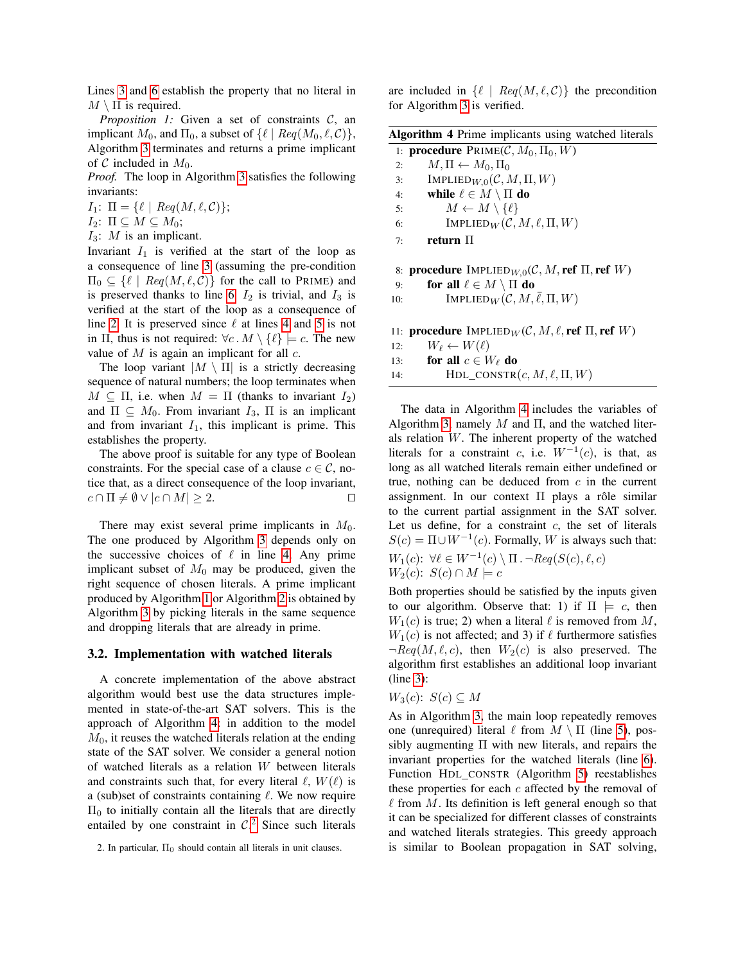Lines [3](#page-4-0) and [6](#page-4-0) establish the property that no literal in  $M \setminus \Pi$  is required.

*Proposition 1:* Given a set of constraints  $C$ , an implicant  $M_0$ , and  $\Pi_0$ , a subset of  $\{\ell \mid \text{Re}q(M_0, \ell, C)\},$ Algorithm [3](#page-3-2) terminates and returns a prime implicant of C included in  $M_0$ .

*Proof.* The loop in Algorithm [3](#page-3-2) satisfies the following invariants:

 $I_1: \Pi = \{ \ell \mid \text{Re}q(M, \ell, C) \};$  $I_2$ :  $\Pi \subseteq M \subseteq M_0$ ;  $I_3$ : M is an implicant.

Invariant  $I_1$  is verified at the start of the loop as a consequence of line [3](#page-3-2) (assuming the pre-condition  $\Pi_0 \subseteq \{ \ell \mid \text{Reg}(M, \ell, C) \}$  for the call to PRIME) and is preserved thanks to line [6.](#page-3-2)  $I_2$  is trivial, and  $I_3$  is verified at the start of the loop as a consequence of line [2.](#page-3-2) It is preserved since  $\ell$  at lines [4](#page-3-2) and [5](#page-3-2) is not in  $\Pi$ , thus is not required:  $\forall c \, M \setminus \{ \ell \} \models c$ . The new value of  $M$  is again an implicant for all  $c$ .

The loop variant  $|M \setminus \Pi|$  is a strictly decreasing sequence of natural numbers; the loop terminates when  $M \subseteq \Pi$ , i.e. when  $M = \Pi$  (thanks to invariant  $I_2$ ) and  $\Pi \subseteq M_0$ . From invariant  $I_3$ ,  $\Pi$  is an implicant and from invariant  $I_1$ , this implicant is prime. This establishes the property.

The above proof is suitable for any type of Boolean constraints. For the special case of a clause  $c \in \mathcal{C}$ , notice that, as a direct consequence of the loop invariant,  $c \cap \Pi \neq \emptyset \vee |c \cap M| \geq 2.$ 

There may exist several prime implicants in  $M_0$ . The one produced by Algorithm [3](#page-3-2) depends only on the successive choices of  $\ell$  in line [4.](#page-3-2) Any prime implicant subset of  $M_0$  may be produced, given the right sequence of chosen literals. A prime implicant produced by Algorithm [1](#page-2-0) or Algorithm [2](#page-3-1) is obtained by Algorithm [3](#page-3-2) by picking literals in the same sequence and dropping literals that are already in prime.

#### 3.2. Implementation with watched literals

A concrete implementation of the above abstract algorithm would best use the data structures implemented in state-of-the-art SAT solvers. This is the approach of Algorithm [4:](#page-4-0) in addition to the model  $M<sub>0</sub>$ , it reuses the watched literals relation at the ending state of the SAT solver. We consider a general notion of watched literals as a relation W between literals and constraints such that, for every literal  $\ell$ ,  $W(\ell)$  is a (sub)set of constraints containing  $\ell$ . We now require  $\Pi_0$  to initially contain all the literals that are directly entailed by one constraint in  $C<sup>2</sup>$  $C<sup>2</sup>$  $C<sup>2</sup>$ . Since such literals

are included in  $\{\ell \mid Reg(M, \ell, C)\}\$  the precondition for Algorithm [3](#page-3-2) is verified.

| Algorithm 4 Prime implicants using watched literals |  |  |  |  |
|-----------------------------------------------------|--|--|--|--|
|                                                     |  |  |  |  |

<span id="page-4-0"></span>

| $\mathbf{r}_{\mathbf{S}}$                                                                  |
|--------------------------------------------------------------------------------------------|
| 1: <b>procedure</b> $PRIME(C, M_0, \Pi_0, W)$                                              |
| $M,\Pi \leftarrow M_0,\Pi_0$                                                               |
| $IMPLIEDW,0(C, M, \Pi, W)$<br>3:                                                           |
| while $\ell \in M \setminus \Pi$ do<br>4:                                                  |
| $M \leftarrow M \setminus \{\ell\}$<br>5:                                                  |
| $IMPLIED_W(\mathcal{C}, M, \ell, \Pi, W)$<br>6:                                            |
| return $\Pi$                                                                               |
| 8: <b>procedure</b> IMPLIED <sub><i>W</i>,0</sub> $(C, M, \text{ref } \Pi, \text{ref } W)$ |
| for all $\ell \in M \setminus \Pi$ do<br>9:                                                |
| $IMPLIED_W(\mathcal{C}, M, \overline{\ell}, \Pi, W)$                                       |
| 11: <b>procedure</b> IMPLIED <sub>W</sub> (C, M, $\ell$ , <b>ref</b> $\Pi$ , <b>ref</b> W) |
| $W_{\ell} \leftarrow W(\ell)$<br>12:                                                       |
| for all $c \in W_{\ell}$ do<br>13:                                                         |
|                                                                                            |

14:  $\text{HDL\_CONSTR}(c, M, \ell, \Pi, W)$ 

The data in Algorithm [4](#page-4-0) includes the variables of Algorithm [3,](#page-3-2) namely  $M$  and  $\Pi$ , and the watched literals relation W. The inherent property of the watched literals for a constraint c, i.e.  $W^{-1}(c)$ , is that, as long as all watched literals remain either undefined or true, nothing can be deduced from  $c$  in the current assignment. In our context  $\Pi$  plays a rôle similar to the current partial assignment in the SAT solver. Let us define, for a constraint  $c$ , the set of literals  $S(c) = \Pi \cup W^{-1}(c)$ . Formally, W is always such that:  $W_1(c)$ :  $\forall \ell \in W^{-1}(c) \setminus \Pi$ . ¬Req $(S(c), \ell, c)$  $W_2(c)$ :  $S(c) \cap M \models c$ 

Both properties should be satisfied by the inputs given to our algorithm. Observe that: 1) if  $\Pi \models c$ , then  $W_1(c)$  is true; 2) when a literal  $\ell$  is removed from M,  $W_1(c)$  is not affected; and 3) if  $\ell$  furthermore satisfies  $\neg Reg(M, \ell, c)$ , then  $W_2(c)$  is also preserved. The algorithm first establishes an additional loop invariant (line [3\)](#page-4-0):

 $W_3(c)$ :  $S(c) \subseteq M$ 

As in Algorithm [3,](#page-3-2) the main loop repeatedly removes one (unrequired) literal  $\ell$  from  $M \setminus \Pi$  (line [5\)](#page-4-0), possibly augmenting  $\Pi$  with new literals, and repairs the invariant properties for the watched literals (line [6\)](#page-4-0). Function HDL CONSTR (Algorithm [5\)](#page-5-0) reestablishes these properties for each  $c$  affected by the removal of  $\ell$  from M. Its definition is left general enough so that it can be specialized for different classes of constraints and watched literals strategies. This greedy approach is similar to Boolean propagation in SAT solving,

<span id="page-4-1"></span><sup>2.</sup> In particular,  $\Pi_0$  should contain all literals in unit clauses.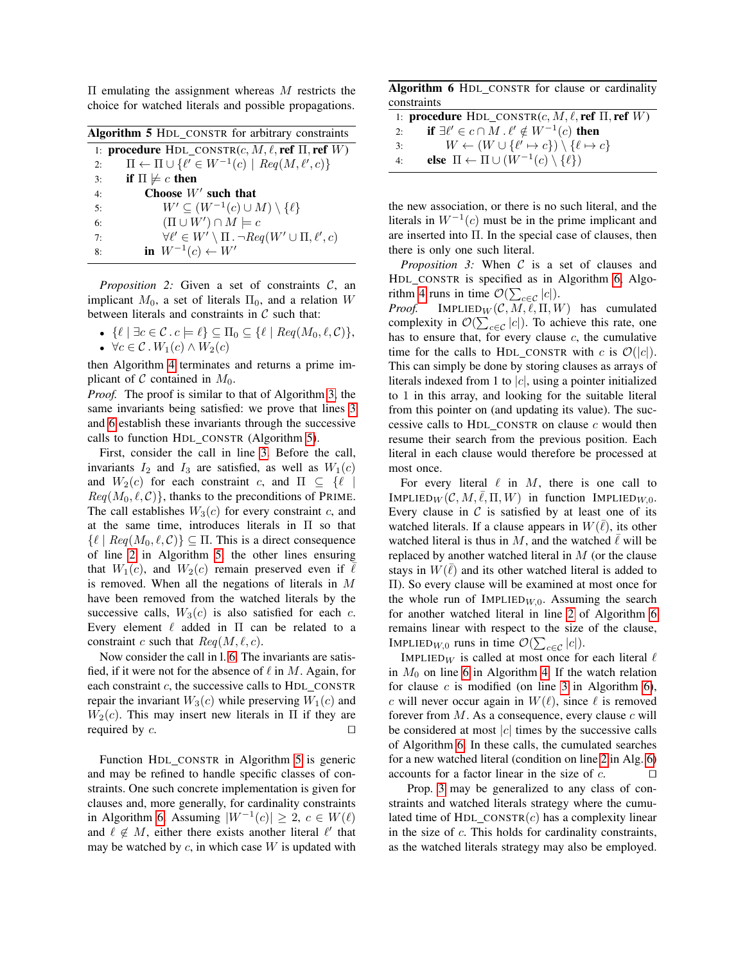$\Pi$  emulating the assignment whereas  $M$  restricts the choice for watched literals and possible propagations.

| Algorithm 5 HDL_CONSTR for arbitrary constraints |  |  |  |  |  |
|--------------------------------------------------|--|--|--|--|--|
|--------------------------------------------------|--|--|--|--|--|

<span id="page-5-0"></span>

|    | 1: <b>procedure</b> HDL_CONSTR( $c, M, \ell$ , <b>ref</b> $\Pi$ , <b>ref</b> $W$ ) |
|----|------------------------------------------------------------------------------------|
| 2: | $\Pi \leftarrow \Pi \cup \{ \ell' \in W^{-1}(c) \mid \text{Reg}(M, \ell', c) \}$   |
| 3: | if $\Pi \not\models c$ then                                                        |
| 4: | Choose $W'$ such that                                                              |
| 5: | $W' \subseteq (W^{-1}(c) \cup M) \setminus \{\ell\}$                               |
| 6: | $(\Pi \cup W') \cap M \models c$                                                   |
| 7: | $\forall \ell' \in W' \setminus \Pi$ . $\neg Reg(W' \cup \Pi, \ell', c)$           |
| 8: | in $W^{-1}(c) \leftarrow W'$                                                       |

*Proposition 2:* Given a set of constraints  $C$ , an implicant  $M_0$ , a set of literals  $\Pi_0$ , and a relation W between literals and constraints in  $C$  such that:

•  $\{\ell \mid \exists c \in \mathcal{C} \cdot c \models \ell\} \subseteq \Pi_0 \subseteq \{\ell \mid \mathit{Req}(M_0, \ell, \mathcal{C})\},\$ •  $\forall c \in \mathcal{C} \cdot W_1(c) \wedge W_2(c)$ 

then Algorithm [4](#page-4-0) terminates and returns a prime implicant of C contained in  $M_0$ .

*Proof.* The proof is similar to that of Algorithm [3,](#page-3-2) the same invariants being satisfied: we prove that lines [3](#page-4-0) and [6](#page-4-0) establish these invariants through the successive calls to function HDL CONSTR (Algorithm [5\)](#page-5-0).

First, consider the call in line [3.](#page-4-0) Before the call, invariants  $I_2$  and  $I_3$  are satisfied, as well as  $W_1(c)$ and  $W_2(c)$  for each constraint c, and  $\Pi \subseteq \{ \ell \mid$  $Req(M_0, \ell, C)$ , thanks to the preconditions of PRIME. The call establishes  $W_3(c)$  for every constraint c, and at the same time, introduces literals in  $\Pi$  so that  $\{\ell \mid \text{Reg}(M_0, \ell, C)\} \subseteq \Pi$ . This is a direct consequence of line [2](#page-5-0) in Algorithm [5,](#page-5-0) the other lines ensuring that  $W_1(c)$ , and  $W_2(c)$  remain preserved even if  $\overline{\ell}$ is removed. When all the negations of literals in M have been removed from the watched literals by the successive calls,  $W_3(c)$  is also satisfied for each c. Every element  $\ell$  added in  $\Pi$  can be related to a constraint c such that  $Req(M, \ell, c)$ .

Now consider the call in l. [6.](#page-4-0) The invariants are satisfied, if it were not for the absence of  $\ell$  in M. Again, for each constraint  $c$ , the successive calls to  $HDL_CONSTR$ repair the invariant  $W_3(c)$  while preserving  $W_1(c)$  and  $W_2(c)$ . This may insert new literals in  $\Pi$  if they are required by  $c$ .

Function HDL CONSTR in Algorithm [5](#page-5-0) is generic and may be refined to handle specific classes of constraints. One such concrete implementation is given for clauses and, more generally, for cardinality constraints in Algorithm [6.](#page-5-1) Assuming  $|W^{-1}(c)| \geq 2$ ,  $c \in W(\ell)$ and  $\ell \notin M$ , either there exists another literal  $\ell'$  that may be watched by  $c$ , in which case  $W$  is updated with

Algorithm 6 HDL CONSTR for clause or cardinality constraints

<span id="page-5-1"></span>

|                | 1: <b>procedure</b> HDL_CONSTR( <i>c</i> , <i>M</i> , $\ell$ , <b>ref</b> $\Pi$ , <b>ref</b> $W$ ) |
|----------------|----------------------------------------------------------------------------------------------------|
| 2:             | if $\exists \ell' \in c \cap M$ . $\ell' \notin W^{-1}(c)$ then                                    |
| $\mathbf{3}$ : | $W \leftarrow (W \cup \{\ell' \mapsto c\}) \setminus \{\ell \mapsto c\}$                           |
| 4:             | else $\Pi \leftarrow \Pi \cup (W^{-1}(c) \setminus \{\ell\})$                                      |

the new association, or there is no such literal, and the literals in  $W^{-1}(c)$  must be in the prime implicant and are inserted into Π. In the special case of clauses, then there is only one such literal.

<span id="page-5-2"></span>*Proposition 3:* When C is a set of clauses and HDL CONSTR is specified as in Algorithm [6,](#page-5-1) Algo-rithm [4](#page-4-0) runs in time  $\mathcal{O}(\sum_{c \in \mathcal{C}} |c|)$ .

*Proof.* IMPLIED $_W(\mathcal{C}, M, \ell, \Pi, W)$  has cumulated complexity in  $\mathcal{O}(\sum_{c \in \mathcal{C}} |c|)$ . To achieve this rate, one has to ensure that, for every clause  $c$ , the cumulative time for the calls to HDL\_CONSTR with c is  $\mathcal{O}(|c|)$ . This can simply be done by storing clauses as arrays of literals indexed from 1 to  $|c|$ , using a pointer initialized to 1 in this array, and looking for the suitable literal from this pointer on (and updating its value). The successive calls to HDL\_CONSTR on clause  $c$  would then resume their search from the previous position. Each literal in each clause would therefore be processed at most once.

For every literal  $\ell$  in M, there is one call to  $IMPLIED_W(\mathcal{C}, M, \overline{\ell}, \Pi, W)$  in function IMPLIED<sub>W0</sub>. Every clause in  $\mathcal C$  is satisfied by at least one of its watched literals. If a clause appears in  $W(\bar{\ell})$ , its other watched literal is thus in M, and the watched  $\ell$  will be replaced by another watched literal in M (or the clause stays in  $W(\bar{\ell})$  and its other watched literal is added to Π). So every clause will be examined at most once for the whole run of IMPLIED<sub>W,0</sub>. Assuming the search for another watched literal in line [2](#page-5-1) of Algorithm [6](#page-5-1) remains linear with respect to the size of the clause, IMPLIED<sub>*W*,0</sub> runs in time  $\mathcal{O}(\sum_{c \in \mathcal{C}} |c|)$ .

IMPLIED<sub>W</sub> is called at most once for each literal  $\ell$ in  $M_0$  on line [6](#page-4-0) in Algorithm [4.](#page-4-0) If the watch relation for clause  $c$  is modified (on line [3](#page-5-1) in Algorithm [6\)](#page-5-1), c will never occur again in  $W(\ell)$ , since  $\ell$  is removed forever from  $M$ . As a consequence, every clause  $c$  will be considered at most  $|c|$  times by the successive calls of Algorithm [6.](#page-5-1) In these calls, the cumulated searches for a new watched literal (condition on line [2](#page-5-1) in Alg. [6\)](#page-5-1) accounts for a factor linear in the size of  $c$ .  $\Box$ 

Prop. [3](#page-5-2) may be generalized to any class of constraints and watched literals strategy where the cumulated time of HDL CONSTR $(c)$  has a complexity linear in the size of  $c$ . This holds for cardinality constraints, as the watched literals strategy may also be employed.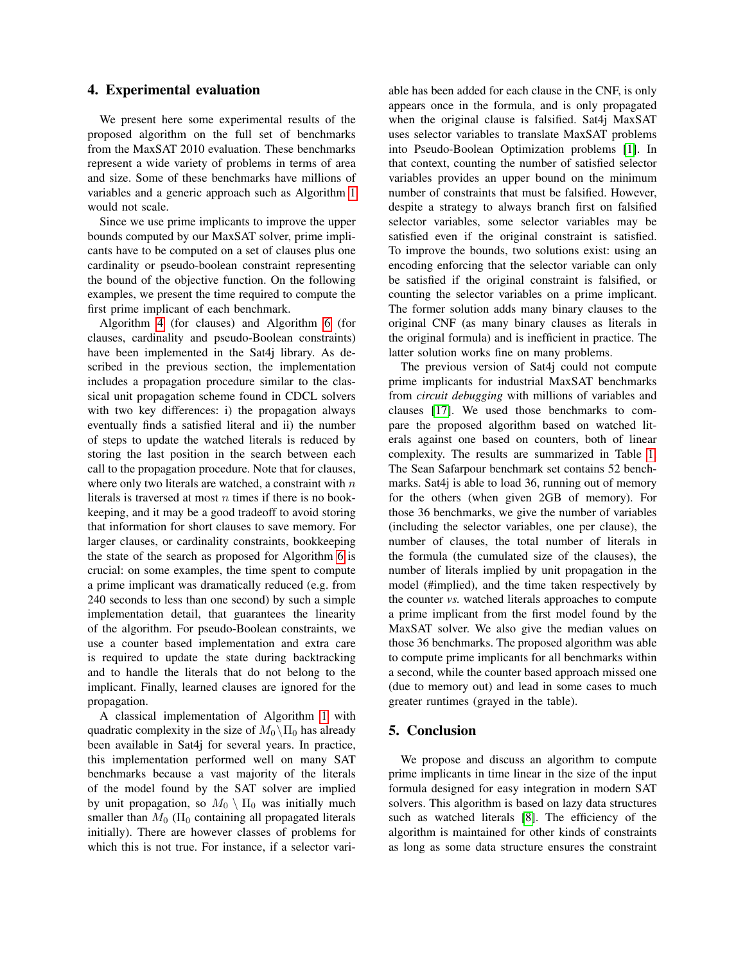## <span id="page-6-0"></span>4. Experimental evaluation

We present here some experimental results of the proposed algorithm on the full set of benchmarks from the MaxSAT 2010 evaluation. These benchmarks represent a wide variety of problems in terms of area and size. Some of these benchmarks have millions of variables and a generic approach such as Algorithm [1](#page-2-0) would not scale.

Since we use prime implicants to improve the upper bounds computed by our MaxSAT solver, prime implicants have to be computed on a set of clauses plus one cardinality or pseudo-boolean constraint representing the bound of the objective function. On the following examples, we present the time required to compute the first prime implicant of each benchmark.

Algorithm [4](#page-4-0) (for clauses) and Algorithm [6](#page-5-1) (for clauses, cardinality and pseudo-Boolean constraints) have been implemented in the Sat4j library. As described in the previous section, the implementation includes a propagation procedure similar to the classical unit propagation scheme found in CDCL solvers with two key differences: i) the propagation always eventually finds a satisfied literal and ii) the number of steps to update the watched literals is reduced by storing the last position in the search between each call to the propagation procedure. Note that for clauses, where only two literals are watched, a constraint with  $n$ literals is traversed at most  $n$  times if there is no bookkeeping, and it may be a good tradeoff to avoid storing that information for short clauses to save memory. For larger clauses, or cardinality constraints, bookkeeping the state of the search as proposed for Algorithm [6](#page-5-1) is crucial: on some examples, the time spent to compute a prime implicant was dramatically reduced (e.g. from 240 seconds to less than one second) by such a simple implementation detail, that guarantees the linearity of the algorithm. For pseudo-Boolean constraints, we use a counter based implementation and extra care is required to update the state during backtracking and to handle the literals that do not belong to the implicant. Finally, learned clauses are ignored for the propagation.

A classical implementation of Algorithm [1](#page-2-0) with quadratic complexity in the size of  $M_0 \setminus \Pi_0$  has already been available in Sat4j for several years. In practice, this implementation performed well on many SAT benchmarks because a vast majority of the literals of the model found by the SAT solver are implied by unit propagation, so  $M_0 \setminus \Pi_0$  was initially much smaller than  $M_0$  ( $\Pi_0$  containing all propagated literals initially). There are however classes of problems for which this is not true. For instance, if a selector vari-

able has been added for each clause in the CNF, is only appears once in the formula, and is only propagated when the original clause is falsified. Sat4j MaxSAT uses selector variables to translate MaxSAT problems into Pseudo-Boolean Optimization problems [\[1\]](#page-7-13). In that context, counting the number of satisfied selector variables provides an upper bound on the minimum number of constraints that must be falsified. However, despite a strategy to always branch first on falsified selector variables, some selector variables may be satisfied even if the original constraint is satisfied. To improve the bounds, two solutions exist: using an encoding enforcing that the selector variable can only be satisfied if the original constraint is falsified, or counting the selector variables on a prime implicant. The former solution adds many binary clauses to the original CNF (as many binary clauses as literals in the original formula) and is inefficient in practice. The latter solution works fine on many problems.

The previous version of Sat4j could not compute prime implicants for industrial MaxSAT benchmarks from *circuit debugging* with millions of variables and clauses [\[17\]](#page-7-14). We used those benchmarks to compare the proposed algorithm based on watched literals against one based on counters, both of linear complexity. The results are summarized in Table [1.](#page-7-15) The Sean Safarpour benchmark set contains 52 benchmarks. Sat4j is able to load 36, running out of memory for the others (when given 2GB of memory). For those 36 benchmarks, we give the number of variables (including the selector variables, one per clause), the number of clauses, the total number of literals in the formula (the cumulated size of the clauses), the number of literals implied by unit propagation in the model (#implied), and the time taken respectively by the counter *vs.* watched literals approaches to compute a prime implicant from the first model found by the MaxSAT solver. We also give the median values on those 36 benchmarks. The proposed algorithm was able to compute prime implicants for all benchmarks within a second, while the counter based approach missed one (due to memory out) and lead in some cases to much greater runtimes (grayed in the table).

### 5. Conclusion

We propose and discuss an algorithm to compute prime implicants in time linear in the size of the input formula designed for easy integration in modern SAT solvers. This algorithm is based on lazy data structures such as watched literals [\[8\]](#page-7-5). The efficiency of the algorithm is maintained for other kinds of constraints as long as some data structure ensures the constraint